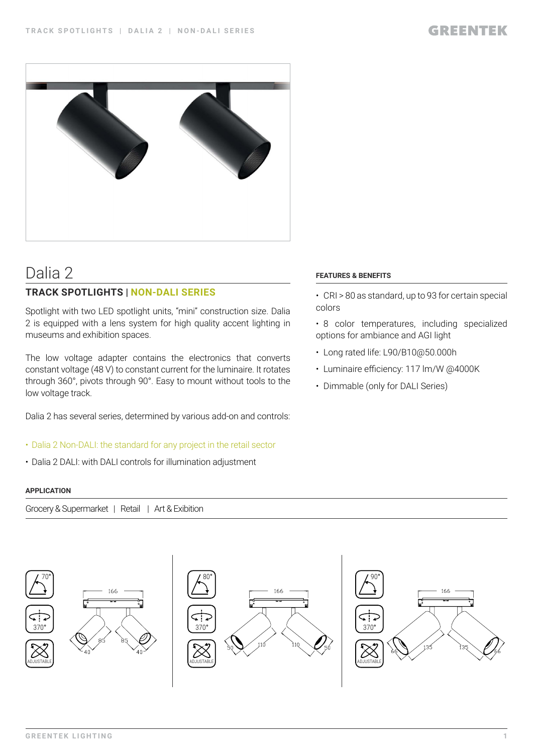

# Dalia 2

## **TRACK SPOTLIGHTS | NON-DALI SERIES**

Spotlight with two LED spotlight units, "mini" construction size. Dalia 2 is equipped with a lens system for high quality accent lighting in museums and exhibition spaces.

The low voltage adapter contains the electronics that converts constant voltage (48 V) to constant current for the luminaire. It rotates through 360°, pivots through 90°. Easy to mount without tools to the low voltage track.

Dalia 2 has several series, determined by various add-on and controls:

## • Dalia 2 Non-DALI: the standard for any project in the retail sector

• Dalia 2 DALI: with DALI controls for illumination adjustment

### **APPLICATION**

Grocery & Supermarket | Retail | Art & Exibition



### **FEATURES & BENEFITS**

- CRI > 80 as standard, up to 93 for certain special colors
- 8 color temperatures, including specialized options for ambiance and AGI light
- Long rated life: L90/B10@50.000h
- Luminaire efficiency: 117 lm/W @4000K
- Dimmable (only for DALI Series)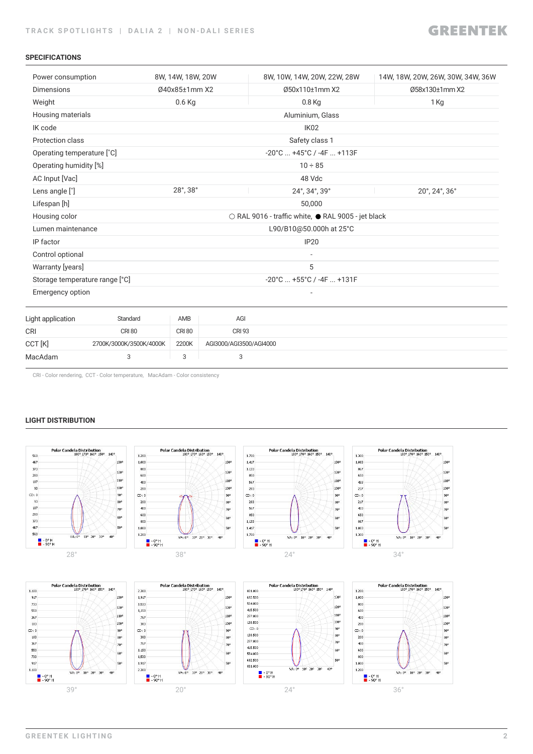#### **SPECIFICATIONS**

| Power consumption              |                         | 8W, 14W, 18W, 20W |                         | 8W, 10W, 14W, 20W, 22W, 28W                        | 14W, 18W, 20W, 26W, 30W, 34W, 36W |
|--------------------------------|-------------------------|-------------------|-------------------------|----------------------------------------------------|-----------------------------------|
| <b>Dimensions</b>              |                         | Ø40x85±1mm X2     |                         | Ø50x110±1mm X2                                     | Ø58x130±1mm X2                    |
| Weight                         |                         | $0.6$ Kg          |                         | $0.8$ Kg                                           | 1 Kg                              |
| Housing materials              |                         |                   |                         | Aluminium, Glass                                   |                                   |
| IK code                        |                         |                   |                         | IK <sub>02</sub>                                   |                                   |
| Protection class               |                         |                   |                         | Safety class 1                                     |                                   |
| Operating temperature [°C]     |                         |                   |                         | $-20^{\circ}$ C $+45^{\circ}$ C / $-4F$ $+113F$    |                                   |
| Operating humidity [%]         |                         |                   |                         | $10 \div 85$                                       |                                   |
| AC Input [Vac]                 |                         |                   |                         | 48 Vdc                                             |                                   |
| Lens angle [°]                 |                         | 28°, 38°          |                         | 24°, 34°, 39°                                      | 20°, 24°, 36°                     |
| Lifespan [h]                   |                         |                   |                         | 50,000                                             |                                   |
| Housing color                  |                         |                   |                         | ○ RAL 9016 - traffic white, ● RAL 9005 - jet black |                                   |
| Lumen maintenance              |                         |                   |                         | L90/B10@50.000h at 25°C                            |                                   |
| IP factor                      |                         |                   |                         | <b>IP20</b>                                        |                                   |
| Control optional               |                         |                   |                         |                                                    |                                   |
| Warranty [years]               |                         |                   |                         | 5                                                  |                                   |
| Storage temperature range [°C] |                         |                   |                         | -20°C  +55°C / -4F  +131F                          |                                   |
| Emergency option               |                         |                   |                         |                                                    |                                   |
| Light application              | Standard                | AMB               | AGI                     |                                                    |                                   |
| CRI                            | <b>CRI 80</b>           | <b>CRI 80</b>     | <b>CRI 93</b>           |                                                    |                                   |
| CCT [K]                        | 2700K/3000K/3500K/4000K | 2200K             | AGI3000/AGI3500/AGI4000 |                                                    |                                   |
| MacAdam                        | 3                       | 3                 | 3                       |                                                    |                                   |

CRI - Color rendering, CCT - Color temperature, MacAdam - Color consistency

### **LIGHT DISTRIBUTION**

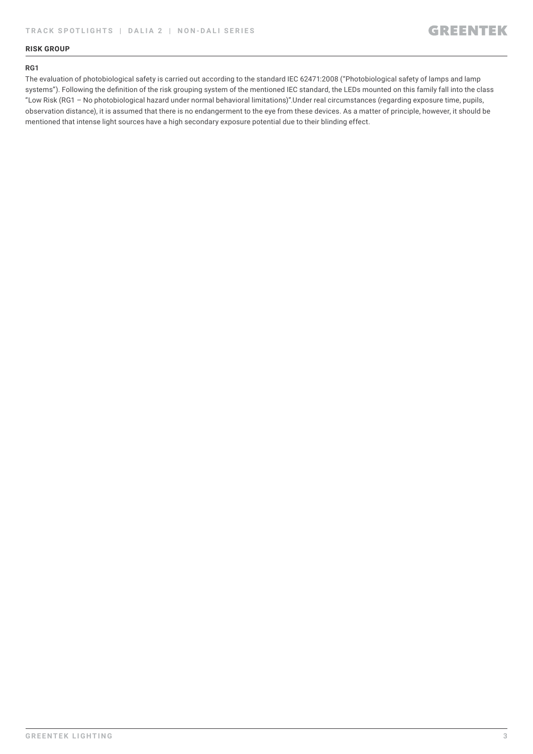### **RISK GROUP**

#### **RG1**

The evaluation of photobiological safety is carried out according to the standard IEC 62471:2008 ("Photobiological safety of lamps and lamp systems"). Following the definition of the risk grouping system of the mentioned IEC standard, the LEDs mounted on this family fall into the class "Low Risk (RG1 – No photobiological hazard under normal behavioral limitations)".Under real circumstances (regarding exposure time, pupils, observation distance), it is assumed that there is no endangerment to the eye from these devices. As a matter of principle, however, it should be mentioned that intense light sources have a high secondary exposure potential due to their blinding effect.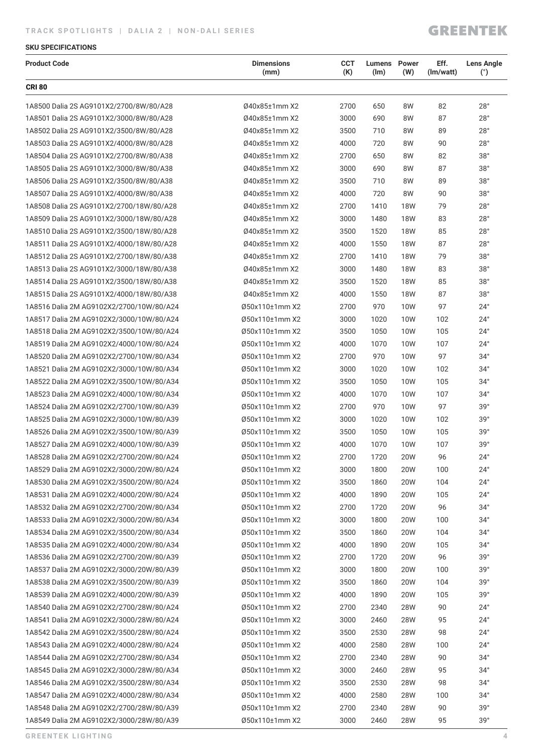## **GREENTEK**

### **SKU SPECIFICATIONS**

| <b>Product Code</b>                      | <b>Dimensions</b><br>(mm) | <b>CCT</b><br>(K) | <b>Lumens</b> Power<br>(lm) | (W)        | Eff.<br>(Im/watt) | <b>Lens Angle</b><br>(°) |
|------------------------------------------|---------------------------|-------------------|-----------------------------|------------|-------------------|--------------------------|
| <b>CRI 80</b>                            |                           |                   |                             |            |                   |                          |
| 1A8500 Dalia 2S AG9101X2/2700/8W/80/A28  | 040x85±1mm X2             | 2700              | 650                         | 8W         | 82                | 28°                      |
| 1A8501 Dalia 2S AG9101X2/3000/8W/80/A28  | 040x85±1mm X2             | 3000              | 690                         | 8W         | 87                | 28°                      |
| 1A8502 Dalia 2S AG9101X2/3500/8W/80/A28  | Ø40x85±1mm X2             | 3500              | 710                         | 8W         | 89                | 28°                      |
| 1A8503 Dalia 2S AG9101X2/4000/8W/80/A28  | 040x85±1mm X2             | 4000              | 720                         | 8W         | 90                | 28°                      |
| 1A8504 Dalia 2S AG9101X2/2700/8W/80/A38  | Ø40x85±1mm X2             | 2700              | 650                         | 8W         | 82                | 38°                      |
| 1A8505 Dalia 2S AG9101X2/3000/8W/80/A38  | Ø40x85±1mm X2             | 3000              | 690                         | 8W         | 87                | 38°                      |
| 1A8506 Dalia 2S AG9101X2/3500/8W/80/A38  | Ø40x85±1mm X2             | 3500              | 710                         | 8W         | 89                | 38°                      |
| 1A8507 Dalia 2S AG9101X2/4000/8W/80/A38  | Ø40x85±1mm X2             | 4000              | 720                         | 8W         | 90                | 38°                      |
| 1A8508 Dalia 2S AG9101X2/2700/18W/80/A28 | Ø40x85±1mm X2             | 2700              | 1410                        | <b>18W</b> | 79                | $28^\circ$               |
| 1A8509 Dalia 2S AG9101X2/3000/18W/80/A28 | Ø40x85±1mm X2             | 3000              | 1480                        | <b>18W</b> | 83                | $28^\circ$               |
| 1A8510 Dalia 2S AG9101X2/3500/18W/80/A28 | Ø40x85±1mm X2             | 3500              | 1520                        | <b>18W</b> | 85                | 28°                      |
| 1A8511 Dalia 2S AG9101X2/4000/18W/80/A28 | Ø40x85±1mm X2             | 4000              | 1550                        | <b>18W</b> | 87                | 28°                      |
| 1A8512 Dalia 2S AG9101X2/2700/18W/80/A38 | Ø40x85±1mm X2             | 2700              | 1410                        | <b>18W</b> | 79                | 38°                      |
| 1A8513 Dalia 2S AG9101X2/3000/18W/80/A38 | Ø40x85±1mm X2             | 3000              | 1480                        | 18W        | 83                | 38°                      |
| 1A8514 Dalia 2S AG9101X2/3500/18W/80/A38 | Ø40x85±1mm X2             | 3500              | 1520                        | <b>18W</b> | 85                | $38^\circ$               |
| 1A8515 Dalia 2S AG9101X2/4000/18W/80/A38 | Ø40x85±1mm X2             | 4000              | 1550                        | <b>18W</b> | 87                | 38°                      |
| 1A8516 Dalia 2M AG9102X2/2700/10W/80/A24 | Ø50x110±1mm X2            | 2700              | 970                         | 10W        | 97                | $24^{\circ}$             |
| 1A8517 Dalia 2M AG9102X2/3000/10W/80/A24 | Ø50x110±1mm X2            | 3000              | 1020                        | 10W        | 102               | $24^{\circ}$             |
| 1A8518 Dalia 2M AG9102X2/3500/10W/80/A24 | Ø50x110±1mm X2            | 3500              | 1050                        | 10W        | 105               | $24^{\circ}$             |
| 1A8519 Dalia 2M AG9102X2/4000/10W/80/A24 | Ø50x110±1mm X2            | 4000              | 1070                        | 10W        | 107               | $24^{\circ}$             |
| 1A8520 Dalia 2M AG9102X2/2700/10W/80/A34 | Ø50x110±1mm X2            | 2700              | 970                         | <b>10W</b> | 97                | $34^\circ$               |
| 1A8521 Dalia 2M AG9102X2/3000/10W/80/A34 | Ø50x110±1mm X2            | 3000              | 1020                        | 10W        | 102               | $34^\circ$               |
| 1A8522 Dalia 2M AG9102X2/3500/10W/80/A34 | Ø50x110±1mm X2            | 3500              | 1050                        | 10W        | 105               | $34^\circ$               |
| 1A8523 Dalia 2M AG9102X2/4000/10W/80/A34 | Ø50x110±1mm X2            | 4000              | 1070                        | 10W        | 107               | $34^\circ$               |
| 1A8524 Dalia 2M AG9102X2/2700/10W/80/A39 | Ø50x110±1mm X2            | 2700              | 970                         | 10W        | 97                | 39°                      |
| 1A8525 Dalia 2M AG9102X2/3000/10W/80/A39 | Ø50x110±1mm X2            | 3000              | 1020                        | 10W        | 102               | 39°                      |
| 1A8526 Dalia 2M AG9102X2/3500/10W/80/A39 | Ø50x110±1mm X2            | 3500              | 1050                        | 10W        | 105               | 39°                      |
| 1A8527 Dalia 2M AG9102X2/4000/10W/80/A39 | Ø50x110±1mm X2            | 4000              | 1070                        | 10W        | 107               | 39°                      |
| 1A8528 Dalia 2M AG9102X2/2700/20W/80/A24 | Ø50x110±1mm X2            | 2700              | 1720                        | <b>20W</b> | 96                | $24^{\circ}$             |
| 1A8529 Dalia 2M AG9102X2/3000/20W/80/A24 | Ø50x110±1mm X2            | 3000              | 1800                        | 20W        | 100               | $24^{\circ}$             |
| 1A8530 Dalia 2M AG9102X2/3500/20W/80/A24 | Ø50x110±1mm X2            | 3500              | 1860                        | 20W        | 104               | $24^{\circ}$             |
| 1A8531 Dalia 2M AG9102X2/4000/20W/80/A24 | Ø50x110±1mm X2            | 4000              | 1890                        | 20W        | 105               | $24^{\circ}$             |
| 1A8532 Dalia 2M AG9102X2/2700/20W/80/A34 | Ø50x110±1mm X2            | 2700              | 1720                        | <b>20W</b> | 96                | $34^\circ$               |
| 1A8533 Dalia 2M AG9102X2/3000/20W/80/A34 | Ø50x110±1mm X2            | 3000              | 1800                        | 20W        | 100               | $34^\circ$               |
| 1A8534 Dalia 2M AG9102X2/3500/20W/80/A34 | Ø50x110±1mm X2            | 3500              | 1860                        | <b>20W</b> | 104               | $34^\circ$               |
| 1A8535 Dalia 2M AG9102X2/4000/20W/80/A34 | Ø50x110±1mm X2            | 4000              | 1890                        | 20W        | 105               | $34^\circ$               |
| 1A8536 Dalia 2M AG9102X2/2700/20W/80/A39 | Ø50x110±1mm X2            | 2700              | 1720                        | 20W        | 96                | 39°                      |
| 1A8537 Dalia 2M AG9102X2/3000/20W/80/A39 | Ø50x110±1mm X2            | 3000              | 1800                        | 20W        | 100               | 39°                      |
| 1A8538 Dalia 2M AG9102X2/3500/20W/80/A39 | Ø50x110±1mm X2            | 3500              | 1860                        | <b>20W</b> | 104               | 39°                      |
| 1A8539 Dalia 2M AG9102X2/4000/20W/80/A39 | Ø50x110±1mm X2            | 4000              | 1890                        | 20W        | 105               | 39°                      |
| 1A8540 Dalia 2M AG9102X2/2700/28W/80/A24 | Ø50x110±1mm X2            | 2700              | 2340                        | 28W        | 90                | $24^{\circ}$             |
| 1A8541 Dalia 2M AG9102X2/3000/28W/80/A24 | Ø50x110±1mm X2            | 3000              | 2460                        | <b>28W</b> | 95                | $24^{\circ}$             |
| 1A8542 Dalia 2M AG9102X2/3500/28W/80/A24 | Ø50x110±1mm X2            | 3500              | 2530                        | 28W        | 98                | $24^{\circ}$             |
| 1A8543 Dalia 2M AG9102X2/4000/28W/80/A24 | Ø50x110±1mm X2            | 4000              | 2580                        | 28W        | 100               | $24^{\circ}$             |
| 1A8544 Dalia 2M AG9102X2/2700/28W/80/A34 | Ø50x110±1mm X2            | 2700              | 2340                        | <b>28W</b> | 90                | $34^\circ$               |
| 1A8545 Dalia 2M AG9102X2/3000/28W/80/A34 | Ø50x110±1mm X2            | 3000              | 2460                        | 28W        | 95                | $34^\circ$               |
| 1A8546 Dalia 2M AG9102X2/3500/28W/80/A34 | Ø50x110±1mm X2            | 3500              | 2530                        | <b>28W</b> | 98                | $34^\circ$               |
| 1A8547 Dalia 2M AG9102X2/4000/28W/80/A34 | Ø50x110±1mm X2            | 4000              | 2580                        | <b>28W</b> | 100               | $34^\circ$               |
| 1A8548 Dalia 2M AG9102X2/2700/28W/80/A39 | Ø50x110±1mm X2            | 2700              | 2340                        | 28W        | 90                | 39°                      |
| 1A8549 Dalia 2M AG9102X2/3000/28W/80/A39 | Ø50x110±1mm X2            | 3000              | 2460                        | <b>28W</b> | 95                | 39°                      |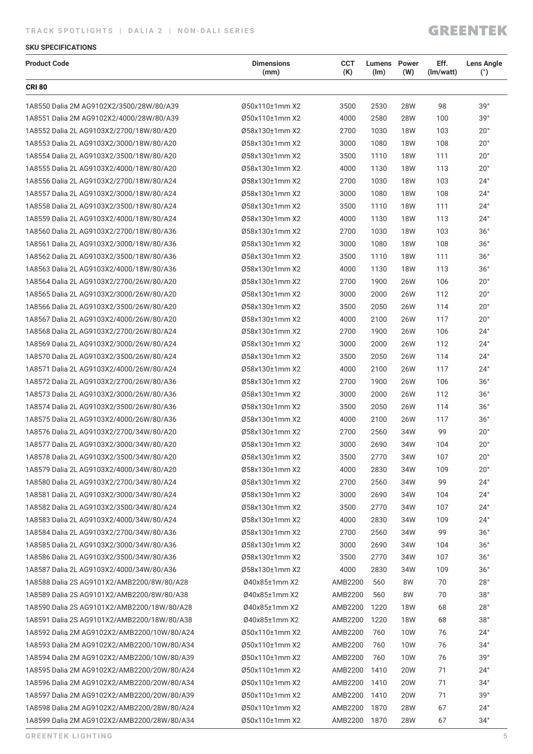## **TRACK SPOTLIGHTS | DALIA 2 | NON-DALI SERIES**

## **GREENTEK**

### **SKU SPECIFICATIONS**

| <b>Product Code</b>                         | <b>Dimensions</b><br>(mm) | <b>CCT</b><br>(K) | <b>Lumens</b> Power<br>(lm) | (W)        | Eff.<br>(Im/watt) | <b>Lens Angle</b><br>$(^\circ)$ |
|---------------------------------------------|---------------------------|-------------------|-----------------------------|------------|-------------------|---------------------------------|
| <b>CRI 80</b>                               |                           |                   |                             |            |                   |                                 |
| 1A8550 Dalia 2M AG9102X2/3500/28W/80/A39    | Ø50x110±1mm X2            | 3500              | 2530                        | 28W        | 98                | 39°                             |
| 1A8551 Dalia 2M AG9102X2/4000/28W/80/A39    | Ø50x110±1mm X2            | 4000              | 2580                        | 28W        | 100               | 39°                             |
| 1A8552 Dalia 2L AG9103X2/2700/18W/80/A20    | Ø58x130±1mm X2            | 2700              | 1030                        | <b>18W</b> | 103               | $20^{\circ}$                    |
| 1A8553 Dalia 2L AG9103X2/3000/18W/80/A20    | Ø58x130±1mm X2            | 3000              | 1080                        | <b>18W</b> | 108               | $20^{\circ}$                    |
| 1A8554 Dalia 2L AG9103X2/3500/18W/80/A20    | Ø58x130±1mm X2            | 3500              | 1110                        | <b>18W</b> | 111               | $20^{\circ}$                    |
| 1A8555 Dalia 2L AG9103X2/4000/18W/80/A20    | Ø58x130±1mm X2            | 4000              | 1130                        | <b>18W</b> | 113               | $20^{\circ}$                    |
| 1A8556 Dalia 2L AG9103X2/2700/18W/80/A24    | Ø58x130±1mm X2            | 2700              | 1030                        | <b>18W</b> | 103               | $24^{\circ}$                    |
| 1A8557 Dalia 2L AG9103X2/3000/18W/80/A24    | Ø58x130±1mm X2            | 3000              | 1080                        | <b>18W</b> | 108               | $24^{\circ}$                    |
| 1A8558 Dalia 2L AG9103X2/3500/18W/80/A24    | Ø58x130±1mm X2            | 3500              | 1110                        | <b>18W</b> | 111               | $24^{\circ}$                    |
| 1A8559 Dalia 2L AG9103X2/4000/18W/80/A24    | Ø58x130±1mm X2            | 4000              | 1130                        | <b>18W</b> | 113               | $24^{\circ}$                    |
| 1A8560 Dalia 2L AG9103X2/2700/18W/80/A36    | Ø58x130±1mm X2            | 2700              | 1030                        | <b>18W</b> | 103               | 36°                             |
| 1A8561 Dalia 2L AG9103X2/3000/18W/80/A36    | Ø58x130±1mm X2            | 3000              | 1080                        | <b>18W</b> | 108               | 36°                             |
| 1A8562 Dalia 2L AG9103X2/3500/18W/80/A36    | Ø58x130±1mm X2            | 3500              | 1110                        | <b>18W</b> | 111               | $36^\circ$                      |
| 1A8563 Dalia 2L AG9103X2/4000/18W/80/A36    | Ø58x130±1mm X2            | 4000              | 1130                        | <b>18W</b> | 113               | 36°                             |
| 1A8564 Dalia 2L AG9103X2/2700/26W/80/A20    | Ø58x130±1mm X2            | 2700              | 1900                        | <b>26W</b> | 106               | $20^{\circ}$                    |
| 1A8565 Dalia 2L AG9103X2/3000/26W/80/A20    | Ø58x130±1mm X2            | 3000              | 2000                        | 26W        | 112               | $20^{\circ}$                    |
| 1A8566 Dalia 2L AG9103X2/3500/26W/80/A20    | Ø58x130±1mm X2            | 3500              | 2050                        | 26W        | 114               | $20^{\circ}$                    |
| 1A8567 Dalia 2L AG9103X2/4000/26W/80/A20    | Ø58x130±1mm X2            | 4000              | 2100                        | 26W        | 117               | $20^{\circ}$                    |
| 1A8568 Dalia 2L AG9103X2/2700/26W/80/A24    | Ø58x130±1mm X2            | 2700              | 1900                        | 26W        | 106               | $24^{\circ}$                    |
| 1A8569 Dalia 2L AG9103X2/3000/26W/80/A24    | Ø58x130±1mm X2            | 3000              | 2000                        | 26W        | 112               | $24^{\circ}$                    |
| 1A8570 Dalia 2L AG9103X2/3500/26W/80/A24    | Ø58x130±1mm X2            | 3500              | 2050                        | <b>26W</b> | 114               | $24^{\circ}$                    |
| 1A8571 Dalia 2L AG9103X2/4000/26W/80/A24    | Ø58x130±1mm X2            | 4000              | 2100                        | 26W        | 117               | $24^{\circ}$                    |
| 1A8572 Dalia 2L AG9103X2/2700/26W/80/A36    | Ø58x130±1mm X2            | 2700              | 1900                        | 26W        | 106               | 36°                             |
| 1A8573 Dalia 2L AG9103X2/3000/26W/80/A36    | Ø58x130±1mm X2            | 3000              | 2000                        | 26W        | 112               | 36°                             |
| 1A8574 Dalia 2L AG9103X2/3500/26W/80/A36    | Ø58x130±1mm X2            | 3500              | 2050                        | 26W        | 114               | $36^{\circ}$                    |
| 1A8575 Dalia 2L AG9103X2/4000/26W/80/A36    | Ø58x130±1mm X2            | 4000              | 2100                        | 26W        | 117               | $36^{\circ}$                    |
| 1A8576 Dalia 2L AG9103X2/2700/34W/80/A20    | Ø58x130±1mm X2            | 2700              | 2560                        | 34W        | 99                | $20^{\circ}$                    |
| 1A8577 Dalia 2L AG9103X2/3000/34W/80/A20    | Ø58x130±1mm X2            | 3000              | 2690                        | 34W        | 104               | $20^{\circ}$                    |
| 1A8578 Dalia 2L AG9103X2/3500/34W/80/A20    | Ø58x130±1mm X2            | 3500              | 2770                        | 34W        | 107               | $20^{\circ}$                    |
| 1A8579 Dalia 2L AG9103X2/4000/34W/80/A20    | Ø58x130±1mm X2            | 4000              | 2830                        | 34W        | 109               | $20^{\circ}$                    |
| 1A8580 Dalia 2L AG9103X2/2700/34W/80/A24    | Ø58x130±1mm X2            | 2700              | 2560                        | 34W        | 99                | $24^{\circ}$                    |
| 1A8581 Dalia 2L AG9103X2/3000/34W/80/A24    | Ø58x130±1mm X2            | 3000              | 2690                        | 34W        | 104               | $24^{\circ}$                    |
| 1A8582 Dalia 2L AG9103X2/3500/34W/80/A24    | Ø58x130±1mm X2            | 3500              | 2770                        | 34W        | 107               | $24^{\circ}$                    |
| 1A8583 Dalia 2L AG9103X2/4000/34W/80/A24    | Ø58x130±1mm X2            | 4000              | 2830                        | 34W        | 109               | $24^{\circ}$                    |
| 1A8584 Dalia 2L AG9103X2/2700/34W/80/A36    | Ø58x130±1mm X2            | 2700              | 2560                        | 34W        | 99                | 36°                             |
| 1A8585 Dalia 2L AG9103X2/3000/34W/80/A36    | Ø58x130±1mm X2            | 3000              | 2690                        | 34W        | 104               | $36^{\circ}$                    |
| 1A8586 Dalia 2L AG9103X2/3500/34W/80/A36    | Ø58x130±1mm X2            | 3500              | 2770                        | 34W        | 107               | $36^{\circ}$                    |
| 1A8587 Dalia 2L AG9103X2/4000/34W/80/A36    | Ø58x130±1mm X2            | 4000              | 2830                        | 34W        | 109               | 36°                             |
| 1A8588 Dalia 2S AG9101X2/AMB2200/8W/80/A28  | Ø40x85±1mm X2             | AMB2200           | 560                         | 8W         | 70                | $28^{\circ}$                    |
| 1A8589 Dalia 2S AG9101X2/AMB2200/8W/80/A38  | Ø40x85±1mm X2             | AMB2200           | 560                         | 8W         | 70                | 38°                             |
| 1A8590 Dalia 2S AG9101X2/AMB2200/18W/80/A28 | Ø40x85±1mm X2             | AMB2200           | 1220                        | 18W        | 68                | 28°                             |
| 1A8591 Dalia 2S AG9101X2/AMB2200/18W/80/A38 | Ø40x85±1mm X2             | AMB2200           | 1220                        | <b>18W</b> | 68                | 38°                             |
| 1A8592 Dalia 2M AG9102X2/AMB2200/10W/80/A24 | Ø50x110±1mm X2            | AMB2200           | 760                         | 10W        | 76                | $24^{\circ}$                    |
| 1A8593 Dalia 2M AG9102X2/AMB2200/10W/80/A34 | Ø50x110±1mm X2            | AMB2200           | 760                         | 10W        | 76                | $34^\circ$                      |
| 1A8594 Dalia 2M AG9102X2/AMB2200/10W/80/A39 | Ø50x110±1mm X2            | AMB2200           | 760                         | 10W        | 76                | 39°                             |
| 1A8595 Dalia 2M AG9102X2/AMB2200/20W/80/A24 | Ø50x110±1mm X2            | AMB2200           | 1410                        | 20W        | 71                | $24^{\circ}$                    |
| 1A8596 Dalia 2M AG9102X2/AMB2200/20W/80/A34 | Ø50x110±1mm X2            | AMB2200 1410      |                             | 20W        | 71                | $34^\circ$                      |
| 1A8597 Dalia 2M AG9102X2/AMB2200/20W/80/A39 | Ø50x110±1mm X2            | AMB2200 1410      |                             | 20W        | 71                | 39°                             |
| 1A8598 Dalia 2M AG9102X2/AMB2200/28W/80/A24 | Ø50x110±1mm X2            | AMB2200           | 1870                        | 28W        | 67                | $24^{\circ}$                    |
| 1A8599 Dalia 2M AG9102X2/AMB2200/28W/80/A34 | Ø50x110±1mm X2            | AMB2200 1870      |                             | 28W        | 67                | $34^\circ$                      |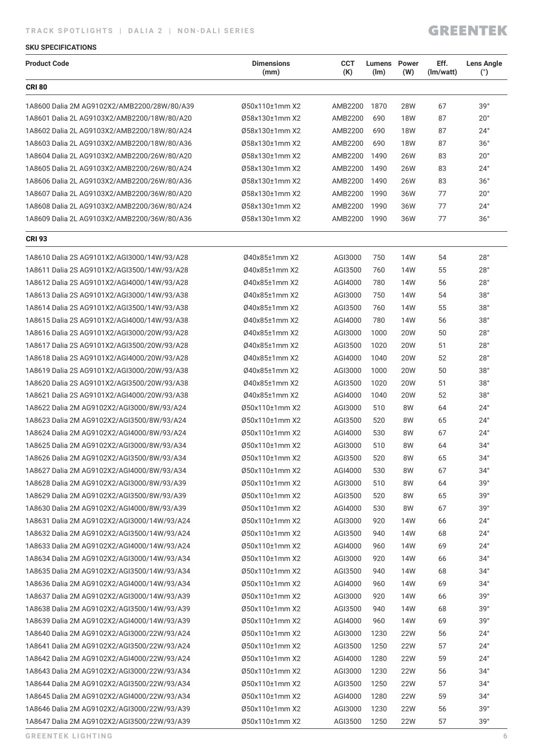## **TRACK SPOTLIGHTS | DALIA 2 | NON-DALI SERIES**

## **GREENTEK**

### **SKU SPECIFICATIONS**

| <b>CRI 80</b><br>39°<br>Ø50x110±1mm X2<br>1870<br>28W<br>67<br>1A8600 Dalia 2M AG9102X2/AMB2200/28W/80/A39<br>AMB2200<br>Ø58x130±1mm X2<br>AMB2200<br><b>18W</b><br>87<br>$20^{\circ}$<br>1A8601 Dalia 2L AG9103X2/AMB2200/18W/80/A20<br>690<br>$24^{\circ}$<br>Ø58x130±1mm X2<br>AMB2200<br><b>18W</b><br>87<br>1A8602 Dalia 2L AG9103X2/AMB2200/18W/80/A24<br>690<br>Ø58x130±1mm X2<br>690<br><b>18W</b><br>87<br>$36^\circ$<br>1A8603 Dalia 2L AG9103X2/AMB2200/18W/80/A36<br>AMB2200<br>$20^{\circ}$<br>1A8604 Dalia 2L AG9103X2/AMB2200/26W/80/A20<br>Ø58x130±1mm X2<br>AMB2200<br>1490<br>26W<br>83<br>$24^{\circ}$<br>Ø58x130±1mm X2<br>AMB2200<br>1490<br>83<br>1A8605 Dalia 2L AG9103X2/AMB2200/26W/80/A24<br>26W<br>Ø58x130±1mm X2<br>AMB2200<br>1490<br>26W<br>83<br>36°<br>1A8606 Dalia 2L AG9103X2/AMB2200/26W/80/A36<br>$20^{\circ}$<br>1A8607 Dalia 2L AG9103X2/AMB2200/36W/80/A20<br>Ø58x130±1mm X2<br>AMB2200<br>1990<br>36W<br>77<br>Ø58x130±1mm X2<br>77<br>$24^{\circ}$<br>1A8608 Dalia 2L AG9103X2/AMB2200/36W/80/A24<br>AMB2200<br>1990<br>36W<br>36°<br>1A8609 Dalia 2L AG9103X2/AMB2200/36W/80/A36<br>Ø58x130±1mm X2<br>AMB2200<br>1990<br>77<br>36W<br><b>CRI 93</b><br>28°<br>1A8610 Dalia 2S AG9101X2/AGI3000/14W/93/A28<br>040x85±1mm X2<br>AGI3000<br>750<br>14W<br>54<br>28°<br>1A8611 Dalia 2S AG9101X2/AGI3500/14W/93/A28<br>Ø40x85±1mm X2<br>AGI3500<br>760<br>14W<br>55<br>28°<br>780<br>14W<br>56<br>1A8612 Dalia 2S AG9101X2/AGI4000/14W/93/A28<br>Ø40x85±1mm X2<br>AGI4000<br>38°<br>1A8613 Dalia 2S AG9101X2/AGI3000/14W/93/A38<br>040x85±1mm X2<br>AGI3000<br>750<br>14W<br>54<br>38°<br>1A8614 Dalia 2S AG9101X2/AGI3500/14W/93/A38<br>Ø40x85±1mm X2<br>AGI3500<br>760<br>55<br>14W<br>38°<br>14W<br>56<br>1A8615 Dalia 2S AG9101X2/AGI4000/14W/93/A38<br>Ø40x85±1mm X2<br>AGI4000<br>780<br>28°<br>1A8616 Dalia 2S AG9101X2/AGI3000/20W/93/A28<br>Ø40x85±1mm X2<br>AGI3000<br>1000<br>20W<br>50<br>28°<br>Ø40x85±1mm X2<br>AGI3500<br>1020<br>20W<br>51<br>1A8617 Dalia 2S AG9101X2/AGI3500/20W/93/A28<br>28°<br>1040<br>20W<br>52<br>1A8618 Dalia 2S AG9101X2/AGI4000/20W/93/A28<br>Ø40x85±1mm X2<br>AGI4000<br>38°<br>1A8619 Dalia 2S AG9101X2/AGI3000/20W/93/A38<br>Ø40x85±1mm X2<br>AGI3000<br>1000<br>20W<br>50<br>38°<br>1A8620 Dalia 2S AG9101X2/AGI3500/20W/93/A38<br>Ø40x85±1mm X2<br>AGI3500<br>1020<br>20W<br>51<br>38°<br>20W<br>52<br>1A8621 Dalia 2S AG9101X2/AGI4000/20W/93/A38<br>Ø40x85±1mm X2<br>AGI4000<br>1040<br>Ø50x110±1mm X2<br>AGI3000<br>510<br>8W<br>64<br>$24^{\circ}$<br>1A8622 Dalia 2M AG9102X2/AGI3000/8W/93/A24<br>$24^{\circ}$<br>Ø50x110±1mm X2<br>AGI3500<br>520<br>8W<br>65<br>1A8623 Dalia 2M AG9102X2/AGI3500/8W/93/A24<br>67<br>$24^{\circ}$<br>1A8624 Dalia 2M AG9102X2/AGI4000/8W/93/A24<br>Ø50x110±1mm X2<br>AGI4000<br>530<br>8W<br>$34^\circ$<br>1A8625 Dalia 2M AG9102X2/AGI3000/8W/93/A34<br>Ø50x110±1mm X2<br>AGI3000<br>510<br>8W<br>64<br>$34^\circ$<br>Ø50x110±1mm X2<br>1A8626 Dalia 2M AG9102X2/AGI3500/8W/93/A34<br>AGI3500<br>520<br>8W<br>65<br>$34^\circ$<br>67<br>1A8627 Dalia 2M AG9102X2/AGI4000/8W/93/A34<br>Ø50x110±1mm X2<br>AGI4000<br>530<br>8W<br>39°<br>Ø50x110±1mm X2<br>AGI3000<br>510<br>64<br>1A8628 Dalia 2M AG9102X2/AGI3000/8W/93/A39<br>8W<br>39°<br>Ø50x110±1mm X2<br>65<br>1A8629 Dalia 2M AG9102X2/AGI3500/8W/93/A39<br>AGI3500<br>520<br>8W<br>67<br>39°<br>1A8630 Dalia 2M AG9102X2/AGI4000/8W/93/A39<br>Ø50x110±1mm X2<br>AGI4000<br>530<br>8W<br>1A8631 Dalia 2M AG9102X2/AGI3000/14W/93/A24<br>Ø50x110±1mm X2<br>AGI3000<br>920<br>14W<br>66<br>$24^{\circ}$<br>$24^{\circ}$<br>1A8632 Dalia 2M AG9102X2/AGI3500/14W/93/A24<br>Ø50x110±1mm X2<br>AGI3500<br>940<br>14W<br>68<br>$24^{\circ}$<br>69<br>1A8633 Dalia 2M AG9102X2/AGI4000/14W/93/A24<br>Ø50x110±1mm X2<br>AGI4000<br>960<br>14W<br>$34^\circ$<br>1A8634 Dalia 2M AG9102X2/AGI3000/14W/93/A34<br>Ø50x110±1mm X2<br>AGI3000<br>920<br>14W<br>66<br>$34^\circ$<br>Ø50x110±1mm X2<br>68<br>1A8635 Dalia 2M AG9102X2/AGI3500/14W/93/A34<br>AGI3500<br>940<br>14W<br>69<br>$34^\circ$<br>1A8636 Dalia 2M AG9102X2/AGI4000/14W/93/A34<br>Ø50x110±1mm X2<br>AGI4000<br>960<br>14W<br>1A8637 Dalia 2M AG9102X2/AGI3000/14W/93/A39<br>Ø50x110±1mm X2<br>AGI3000<br>920<br>14W<br>66<br>39°<br>39°<br>1A8638 Dalia 2M AG9102X2/AGI3500/14W/93/A39<br>Ø50x110±1mm X2<br>AGI3500<br>940<br>14W<br>68<br>39°<br>69<br>1A8639 Dalia 2M AG9102X2/AGI4000/14W/93/A39<br>Ø50x110±1mm X2<br>AGI4000<br>960<br>14W<br>1A8640 Dalia 2M AG9102X2/AGI3000/22W/93/A24<br>Ø50x110±1mm X2<br>AGI3000<br>1230<br>22W<br>56<br>$24^{\circ}$<br>Ø50x110±1mm X2<br>1250<br>57<br>$24^{\circ}$<br>1A8641 Dalia 2M AG9102X2/AGI3500/22W/93/A24<br>AGI3500<br>22W<br>59<br>$24^{\circ}$<br>1A8642 Dalia 2M AG9102X2/AGI4000/22W/93/A24<br>Ø50x110±1mm X2<br>AGI4000<br>1280<br>22W<br>1A8643 Dalia 2M AG9102X2/AGI3000/22W/93/A34<br>Ø50x110±1mm X2<br>AGI3000<br>1230<br><b>22W</b><br>56<br>$34^\circ$<br>$34^\circ$<br>1A8644 Dalia 2M AG9102X2/AGI3500/22W/93/A34<br>Ø50x110±1mm X2<br>AGI3500<br>1250<br><b>22W</b><br>57<br>$34^\circ$<br>59<br>1A8645 Dalia 2M AG9102X2/AGI4000/22W/93/A34<br>Ø50x110±1mm X2<br>AGI4000<br>1280<br>22W<br>39°<br>1A8646 Dalia 2M AG9102X2/AGI3000/22W/93/A39<br>Ø50x110±1mm X2<br>AGI3000<br>1230<br><b>22W</b><br>56 | <b>Product Code</b>                         | <b>Dimensions</b><br>(mm) | <b>CCT</b><br>(K) | <b>Lumens</b> Power<br>(lm) | (W) | Eff.<br>(Im/watt) | <b>Lens Angle</b><br>(°) |
|----------------------------------------------------------------------------------------------------------------------------------------------------------------------------------------------------------------------------------------------------------------------------------------------------------------------------------------------------------------------------------------------------------------------------------------------------------------------------------------------------------------------------------------------------------------------------------------------------------------------------------------------------------------------------------------------------------------------------------------------------------------------------------------------------------------------------------------------------------------------------------------------------------------------------------------------------------------------------------------------------------------------------------------------------------------------------------------------------------------------------------------------------------------------------------------------------------------------------------------------------------------------------------------------------------------------------------------------------------------------------------------------------------------------------------------------------------------------------------------------------------------------------------------------------------------------------------------------------------------------------------------------------------------------------------------------------------------------------------------------------------------------------------------------------------------------------------------------------------------------------------------------------------------------------------------------------------------------------------------------------------------------------------------------------------------------------------------------------------------------------------------------------------------------------------------------------------------------------------------------------------------------------------------------------------------------------------------------------------------------------------------------------------------------------------------------------------------------------------------------------------------------------------------------------------------------------------------------------------------------------------------------------------------------------------------------------------------------------------------------------------------------------------------------------------------------------------------------------------------------------------------------------------------------------------------------------------------------------------------------------------------------------------------------------------------------------------------------------------------------------------------------------------------------------------------------------------------------------------------------------------------------------------------------------------------------------------------------------------------------------------------------------------------------------------------------------------------------------------------------------------------------------------------------------------------------------------------------------------------------------------------------------------------------------------------------------------------------------------------------------------------------------------------------------------------------------------------------------------------------------------------------------------------------------------------------------------------------------------------------------------------------------------------------------------------------------------------------------------------------------------------------------------------------------------------------------------------------------------------------------------------------------------------------------------------------------------------------------------------------------------------------------------------------------------------------------------------------------------------------------------------------------------------------------------------------------------------------------------------------------------------------------------------------------------------------------------------------------------------------------------------------------------------------------------------------------------------------------------------------------------------------------------------------------------------------------------------------------------------------------------------------------------------------------------------------------------------------------------------------------------------------------------------------------------------------------------------------------------------------------------------------------------------------------------------------|---------------------------------------------|---------------------------|-------------------|-----------------------------|-----|-------------------|--------------------------|
|                                                                                                                                                                                                                                                                                                                                                                                                                                                                                                                                                                                                                                                                                                                                                                                                                                                                                                                                                                                                                                                                                                                                                                                                                                                                                                                                                                                                                                                                                                                                                                                                                                                                                                                                                                                                                                                                                                                                                                                                                                                                                                                                                                                                                                                                                                                                                                                                                                                                                                                                                                                                                                                                                                                                                                                                                                                                                                                                                                                                                                                                                                                                                                                                                                                                                                                                                                                                                                                                                                                                                                                                                                                                                                                                                                                                                                                                                                                                                                                                                                                                                                                                                                                                                                                                                                                                                                                                                                                                                                                                                                                                                                                                                                                                                                                                                                                                                                                                                                                                                                                                                                                                                                                                                                                                                                                      |                                             |                           |                   |                             |     |                   |                          |
|                                                                                                                                                                                                                                                                                                                                                                                                                                                                                                                                                                                                                                                                                                                                                                                                                                                                                                                                                                                                                                                                                                                                                                                                                                                                                                                                                                                                                                                                                                                                                                                                                                                                                                                                                                                                                                                                                                                                                                                                                                                                                                                                                                                                                                                                                                                                                                                                                                                                                                                                                                                                                                                                                                                                                                                                                                                                                                                                                                                                                                                                                                                                                                                                                                                                                                                                                                                                                                                                                                                                                                                                                                                                                                                                                                                                                                                                                                                                                                                                                                                                                                                                                                                                                                                                                                                                                                                                                                                                                                                                                                                                                                                                                                                                                                                                                                                                                                                                                                                                                                                                                                                                                                                                                                                                                                                      |                                             |                           |                   |                             |     |                   |                          |
|                                                                                                                                                                                                                                                                                                                                                                                                                                                                                                                                                                                                                                                                                                                                                                                                                                                                                                                                                                                                                                                                                                                                                                                                                                                                                                                                                                                                                                                                                                                                                                                                                                                                                                                                                                                                                                                                                                                                                                                                                                                                                                                                                                                                                                                                                                                                                                                                                                                                                                                                                                                                                                                                                                                                                                                                                                                                                                                                                                                                                                                                                                                                                                                                                                                                                                                                                                                                                                                                                                                                                                                                                                                                                                                                                                                                                                                                                                                                                                                                                                                                                                                                                                                                                                                                                                                                                                                                                                                                                                                                                                                                                                                                                                                                                                                                                                                                                                                                                                                                                                                                                                                                                                                                                                                                                                                      |                                             |                           |                   |                             |     |                   |                          |
|                                                                                                                                                                                                                                                                                                                                                                                                                                                                                                                                                                                                                                                                                                                                                                                                                                                                                                                                                                                                                                                                                                                                                                                                                                                                                                                                                                                                                                                                                                                                                                                                                                                                                                                                                                                                                                                                                                                                                                                                                                                                                                                                                                                                                                                                                                                                                                                                                                                                                                                                                                                                                                                                                                                                                                                                                                                                                                                                                                                                                                                                                                                                                                                                                                                                                                                                                                                                                                                                                                                                                                                                                                                                                                                                                                                                                                                                                                                                                                                                                                                                                                                                                                                                                                                                                                                                                                                                                                                                                                                                                                                                                                                                                                                                                                                                                                                                                                                                                                                                                                                                                                                                                                                                                                                                                                                      |                                             |                           |                   |                             |     |                   |                          |
|                                                                                                                                                                                                                                                                                                                                                                                                                                                                                                                                                                                                                                                                                                                                                                                                                                                                                                                                                                                                                                                                                                                                                                                                                                                                                                                                                                                                                                                                                                                                                                                                                                                                                                                                                                                                                                                                                                                                                                                                                                                                                                                                                                                                                                                                                                                                                                                                                                                                                                                                                                                                                                                                                                                                                                                                                                                                                                                                                                                                                                                                                                                                                                                                                                                                                                                                                                                                                                                                                                                                                                                                                                                                                                                                                                                                                                                                                                                                                                                                                                                                                                                                                                                                                                                                                                                                                                                                                                                                                                                                                                                                                                                                                                                                                                                                                                                                                                                                                                                                                                                                                                                                                                                                                                                                                                                      |                                             |                           |                   |                             |     |                   |                          |
|                                                                                                                                                                                                                                                                                                                                                                                                                                                                                                                                                                                                                                                                                                                                                                                                                                                                                                                                                                                                                                                                                                                                                                                                                                                                                                                                                                                                                                                                                                                                                                                                                                                                                                                                                                                                                                                                                                                                                                                                                                                                                                                                                                                                                                                                                                                                                                                                                                                                                                                                                                                                                                                                                                                                                                                                                                                                                                                                                                                                                                                                                                                                                                                                                                                                                                                                                                                                                                                                                                                                                                                                                                                                                                                                                                                                                                                                                                                                                                                                                                                                                                                                                                                                                                                                                                                                                                                                                                                                                                                                                                                                                                                                                                                                                                                                                                                                                                                                                                                                                                                                                                                                                                                                                                                                                                                      |                                             |                           |                   |                             |     |                   |                          |
|                                                                                                                                                                                                                                                                                                                                                                                                                                                                                                                                                                                                                                                                                                                                                                                                                                                                                                                                                                                                                                                                                                                                                                                                                                                                                                                                                                                                                                                                                                                                                                                                                                                                                                                                                                                                                                                                                                                                                                                                                                                                                                                                                                                                                                                                                                                                                                                                                                                                                                                                                                                                                                                                                                                                                                                                                                                                                                                                                                                                                                                                                                                                                                                                                                                                                                                                                                                                                                                                                                                                                                                                                                                                                                                                                                                                                                                                                                                                                                                                                                                                                                                                                                                                                                                                                                                                                                                                                                                                                                                                                                                                                                                                                                                                                                                                                                                                                                                                                                                                                                                                                                                                                                                                                                                                                                                      |                                             |                           |                   |                             |     |                   |                          |
|                                                                                                                                                                                                                                                                                                                                                                                                                                                                                                                                                                                                                                                                                                                                                                                                                                                                                                                                                                                                                                                                                                                                                                                                                                                                                                                                                                                                                                                                                                                                                                                                                                                                                                                                                                                                                                                                                                                                                                                                                                                                                                                                                                                                                                                                                                                                                                                                                                                                                                                                                                                                                                                                                                                                                                                                                                                                                                                                                                                                                                                                                                                                                                                                                                                                                                                                                                                                                                                                                                                                                                                                                                                                                                                                                                                                                                                                                                                                                                                                                                                                                                                                                                                                                                                                                                                                                                                                                                                                                                                                                                                                                                                                                                                                                                                                                                                                                                                                                                                                                                                                                                                                                                                                                                                                                                                      |                                             |                           |                   |                             |     |                   |                          |
|                                                                                                                                                                                                                                                                                                                                                                                                                                                                                                                                                                                                                                                                                                                                                                                                                                                                                                                                                                                                                                                                                                                                                                                                                                                                                                                                                                                                                                                                                                                                                                                                                                                                                                                                                                                                                                                                                                                                                                                                                                                                                                                                                                                                                                                                                                                                                                                                                                                                                                                                                                                                                                                                                                                                                                                                                                                                                                                                                                                                                                                                                                                                                                                                                                                                                                                                                                                                                                                                                                                                                                                                                                                                                                                                                                                                                                                                                                                                                                                                                                                                                                                                                                                                                                                                                                                                                                                                                                                                                                                                                                                                                                                                                                                                                                                                                                                                                                                                                                                                                                                                                                                                                                                                                                                                                                                      |                                             |                           |                   |                             |     |                   |                          |
|                                                                                                                                                                                                                                                                                                                                                                                                                                                                                                                                                                                                                                                                                                                                                                                                                                                                                                                                                                                                                                                                                                                                                                                                                                                                                                                                                                                                                                                                                                                                                                                                                                                                                                                                                                                                                                                                                                                                                                                                                                                                                                                                                                                                                                                                                                                                                                                                                                                                                                                                                                                                                                                                                                                                                                                                                                                                                                                                                                                                                                                                                                                                                                                                                                                                                                                                                                                                                                                                                                                                                                                                                                                                                                                                                                                                                                                                                                                                                                                                                                                                                                                                                                                                                                                                                                                                                                                                                                                                                                                                                                                                                                                                                                                                                                                                                                                                                                                                                                                                                                                                                                                                                                                                                                                                                                                      |                                             |                           |                   |                             |     |                   |                          |
|                                                                                                                                                                                                                                                                                                                                                                                                                                                                                                                                                                                                                                                                                                                                                                                                                                                                                                                                                                                                                                                                                                                                                                                                                                                                                                                                                                                                                                                                                                                                                                                                                                                                                                                                                                                                                                                                                                                                                                                                                                                                                                                                                                                                                                                                                                                                                                                                                                                                                                                                                                                                                                                                                                                                                                                                                                                                                                                                                                                                                                                                                                                                                                                                                                                                                                                                                                                                                                                                                                                                                                                                                                                                                                                                                                                                                                                                                                                                                                                                                                                                                                                                                                                                                                                                                                                                                                                                                                                                                                                                                                                                                                                                                                                                                                                                                                                                                                                                                                                                                                                                                                                                                                                                                                                                                                                      |                                             |                           |                   |                             |     |                   |                          |
|                                                                                                                                                                                                                                                                                                                                                                                                                                                                                                                                                                                                                                                                                                                                                                                                                                                                                                                                                                                                                                                                                                                                                                                                                                                                                                                                                                                                                                                                                                                                                                                                                                                                                                                                                                                                                                                                                                                                                                                                                                                                                                                                                                                                                                                                                                                                                                                                                                                                                                                                                                                                                                                                                                                                                                                                                                                                                                                                                                                                                                                                                                                                                                                                                                                                                                                                                                                                                                                                                                                                                                                                                                                                                                                                                                                                                                                                                                                                                                                                                                                                                                                                                                                                                                                                                                                                                                                                                                                                                                                                                                                                                                                                                                                                                                                                                                                                                                                                                                                                                                                                                                                                                                                                                                                                                                                      |                                             |                           |                   |                             |     |                   |                          |
|                                                                                                                                                                                                                                                                                                                                                                                                                                                                                                                                                                                                                                                                                                                                                                                                                                                                                                                                                                                                                                                                                                                                                                                                                                                                                                                                                                                                                                                                                                                                                                                                                                                                                                                                                                                                                                                                                                                                                                                                                                                                                                                                                                                                                                                                                                                                                                                                                                                                                                                                                                                                                                                                                                                                                                                                                                                                                                                                                                                                                                                                                                                                                                                                                                                                                                                                                                                                                                                                                                                                                                                                                                                                                                                                                                                                                                                                                                                                                                                                                                                                                                                                                                                                                                                                                                                                                                                                                                                                                                                                                                                                                                                                                                                                                                                                                                                                                                                                                                                                                                                                                                                                                                                                                                                                                                                      |                                             |                           |                   |                             |     |                   |                          |
|                                                                                                                                                                                                                                                                                                                                                                                                                                                                                                                                                                                                                                                                                                                                                                                                                                                                                                                                                                                                                                                                                                                                                                                                                                                                                                                                                                                                                                                                                                                                                                                                                                                                                                                                                                                                                                                                                                                                                                                                                                                                                                                                                                                                                                                                                                                                                                                                                                                                                                                                                                                                                                                                                                                                                                                                                                                                                                                                                                                                                                                                                                                                                                                                                                                                                                                                                                                                                                                                                                                                                                                                                                                                                                                                                                                                                                                                                                                                                                                                                                                                                                                                                                                                                                                                                                                                                                                                                                                                                                                                                                                                                                                                                                                                                                                                                                                                                                                                                                                                                                                                                                                                                                                                                                                                                                                      |                                             |                           |                   |                             |     |                   |                          |
|                                                                                                                                                                                                                                                                                                                                                                                                                                                                                                                                                                                                                                                                                                                                                                                                                                                                                                                                                                                                                                                                                                                                                                                                                                                                                                                                                                                                                                                                                                                                                                                                                                                                                                                                                                                                                                                                                                                                                                                                                                                                                                                                                                                                                                                                                                                                                                                                                                                                                                                                                                                                                                                                                                                                                                                                                                                                                                                                                                                                                                                                                                                                                                                                                                                                                                                                                                                                                                                                                                                                                                                                                                                                                                                                                                                                                                                                                                                                                                                                                                                                                                                                                                                                                                                                                                                                                                                                                                                                                                                                                                                                                                                                                                                                                                                                                                                                                                                                                                                                                                                                                                                                                                                                                                                                                                                      |                                             |                           |                   |                             |     |                   |                          |
|                                                                                                                                                                                                                                                                                                                                                                                                                                                                                                                                                                                                                                                                                                                                                                                                                                                                                                                                                                                                                                                                                                                                                                                                                                                                                                                                                                                                                                                                                                                                                                                                                                                                                                                                                                                                                                                                                                                                                                                                                                                                                                                                                                                                                                                                                                                                                                                                                                                                                                                                                                                                                                                                                                                                                                                                                                                                                                                                                                                                                                                                                                                                                                                                                                                                                                                                                                                                                                                                                                                                                                                                                                                                                                                                                                                                                                                                                                                                                                                                                                                                                                                                                                                                                                                                                                                                                                                                                                                                                                                                                                                                                                                                                                                                                                                                                                                                                                                                                                                                                                                                                                                                                                                                                                                                                                                      |                                             |                           |                   |                             |     |                   |                          |
|                                                                                                                                                                                                                                                                                                                                                                                                                                                                                                                                                                                                                                                                                                                                                                                                                                                                                                                                                                                                                                                                                                                                                                                                                                                                                                                                                                                                                                                                                                                                                                                                                                                                                                                                                                                                                                                                                                                                                                                                                                                                                                                                                                                                                                                                                                                                                                                                                                                                                                                                                                                                                                                                                                                                                                                                                                                                                                                                                                                                                                                                                                                                                                                                                                                                                                                                                                                                                                                                                                                                                                                                                                                                                                                                                                                                                                                                                                                                                                                                                                                                                                                                                                                                                                                                                                                                                                                                                                                                                                                                                                                                                                                                                                                                                                                                                                                                                                                                                                                                                                                                                                                                                                                                                                                                                                                      |                                             |                           |                   |                             |     |                   |                          |
|                                                                                                                                                                                                                                                                                                                                                                                                                                                                                                                                                                                                                                                                                                                                                                                                                                                                                                                                                                                                                                                                                                                                                                                                                                                                                                                                                                                                                                                                                                                                                                                                                                                                                                                                                                                                                                                                                                                                                                                                                                                                                                                                                                                                                                                                                                                                                                                                                                                                                                                                                                                                                                                                                                                                                                                                                                                                                                                                                                                                                                                                                                                                                                                                                                                                                                                                                                                                                                                                                                                                                                                                                                                                                                                                                                                                                                                                                                                                                                                                                                                                                                                                                                                                                                                                                                                                                                                                                                                                                                                                                                                                                                                                                                                                                                                                                                                                                                                                                                                                                                                                                                                                                                                                                                                                                                                      |                                             |                           |                   |                             |     |                   |                          |
|                                                                                                                                                                                                                                                                                                                                                                                                                                                                                                                                                                                                                                                                                                                                                                                                                                                                                                                                                                                                                                                                                                                                                                                                                                                                                                                                                                                                                                                                                                                                                                                                                                                                                                                                                                                                                                                                                                                                                                                                                                                                                                                                                                                                                                                                                                                                                                                                                                                                                                                                                                                                                                                                                                                                                                                                                                                                                                                                                                                                                                                                                                                                                                                                                                                                                                                                                                                                                                                                                                                                                                                                                                                                                                                                                                                                                                                                                                                                                                                                                                                                                                                                                                                                                                                                                                                                                                                                                                                                                                                                                                                                                                                                                                                                                                                                                                                                                                                                                                                                                                                                                                                                                                                                                                                                                                                      |                                             |                           |                   |                             |     |                   |                          |
|                                                                                                                                                                                                                                                                                                                                                                                                                                                                                                                                                                                                                                                                                                                                                                                                                                                                                                                                                                                                                                                                                                                                                                                                                                                                                                                                                                                                                                                                                                                                                                                                                                                                                                                                                                                                                                                                                                                                                                                                                                                                                                                                                                                                                                                                                                                                                                                                                                                                                                                                                                                                                                                                                                                                                                                                                                                                                                                                                                                                                                                                                                                                                                                                                                                                                                                                                                                                                                                                                                                                                                                                                                                                                                                                                                                                                                                                                                                                                                                                                                                                                                                                                                                                                                                                                                                                                                                                                                                                                                                                                                                                                                                                                                                                                                                                                                                                                                                                                                                                                                                                                                                                                                                                                                                                                                                      |                                             |                           |                   |                             |     |                   |                          |
|                                                                                                                                                                                                                                                                                                                                                                                                                                                                                                                                                                                                                                                                                                                                                                                                                                                                                                                                                                                                                                                                                                                                                                                                                                                                                                                                                                                                                                                                                                                                                                                                                                                                                                                                                                                                                                                                                                                                                                                                                                                                                                                                                                                                                                                                                                                                                                                                                                                                                                                                                                                                                                                                                                                                                                                                                                                                                                                                                                                                                                                                                                                                                                                                                                                                                                                                                                                                                                                                                                                                                                                                                                                                                                                                                                                                                                                                                                                                                                                                                                                                                                                                                                                                                                                                                                                                                                                                                                                                                                                                                                                                                                                                                                                                                                                                                                                                                                                                                                                                                                                                                                                                                                                                                                                                                                                      |                                             |                           |                   |                             |     |                   |                          |
|                                                                                                                                                                                                                                                                                                                                                                                                                                                                                                                                                                                                                                                                                                                                                                                                                                                                                                                                                                                                                                                                                                                                                                                                                                                                                                                                                                                                                                                                                                                                                                                                                                                                                                                                                                                                                                                                                                                                                                                                                                                                                                                                                                                                                                                                                                                                                                                                                                                                                                                                                                                                                                                                                                                                                                                                                                                                                                                                                                                                                                                                                                                                                                                                                                                                                                                                                                                                                                                                                                                                                                                                                                                                                                                                                                                                                                                                                                                                                                                                                                                                                                                                                                                                                                                                                                                                                                                                                                                                                                                                                                                                                                                                                                                                                                                                                                                                                                                                                                                                                                                                                                                                                                                                                                                                                                                      |                                             |                           |                   |                             |     |                   |                          |
|                                                                                                                                                                                                                                                                                                                                                                                                                                                                                                                                                                                                                                                                                                                                                                                                                                                                                                                                                                                                                                                                                                                                                                                                                                                                                                                                                                                                                                                                                                                                                                                                                                                                                                                                                                                                                                                                                                                                                                                                                                                                                                                                                                                                                                                                                                                                                                                                                                                                                                                                                                                                                                                                                                                                                                                                                                                                                                                                                                                                                                                                                                                                                                                                                                                                                                                                                                                                                                                                                                                                                                                                                                                                                                                                                                                                                                                                                                                                                                                                                                                                                                                                                                                                                                                                                                                                                                                                                                                                                                                                                                                                                                                                                                                                                                                                                                                                                                                                                                                                                                                                                                                                                                                                                                                                                                                      |                                             |                           |                   |                             |     |                   |                          |
|                                                                                                                                                                                                                                                                                                                                                                                                                                                                                                                                                                                                                                                                                                                                                                                                                                                                                                                                                                                                                                                                                                                                                                                                                                                                                                                                                                                                                                                                                                                                                                                                                                                                                                                                                                                                                                                                                                                                                                                                                                                                                                                                                                                                                                                                                                                                                                                                                                                                                                                                                                                                                                                                                                                                                                                                                                                                                                                                                                                                                                                                                                                                                                                                                                                                                                                                                                                                                                                                                                                                                                                                                                                                                                                                                                                                                                                                                                                                                                                                                                                                                                                                                                                                                                                                                                                                                                                                                                                                                                                                                                                                                                                                                                                                                                                                                                                                                                                                                                                                                                                                                                                                                                                                                                                                                                                      |                                             |                           |                   |                             |     |                   |                          |
|                                                                                                                                                                                                                                                                                                                                                                                                                                                                                                                                                                                                                                                                                                                                                                                                                                                                                                                                                                                                                                                                                                                                                                                                                                                                                                                                                                                                                                                                                                                                                                                                                                                                                                                                                                                                                                                                                                                                                                                                                                                                                                                                                                                                                                                                                                                                                                                                                                                                                                                                                                                                                                                                                                                                                                                                                                                                                                                                                                                                                                                                                                                                                                                                                                                                                                                                                                                                                                                                                                                                                                                                                                                                                                                                                                                                                                                                                                                                                                                                                                                                                                                                                                                                                                                                                                                                                                                                                                                                                                                                                                                                                                                                                                                                                                                                                                                                                                                                                                                                                                                                                                                                                                                                                                                                                                                      |                                             |                           |                   |                             |     |                   |                          |
|                                                                                                                                                                                                                                                                                                                                                                                                                                                                                                                                                                                                                                                                                                                                                                                                                                                                                                                                                                                                                                                                                                                                                                                                                                                                                                                                                                                                                                                                                                                                                                                                                                                                                                                                                                                                                                                                                                                                                                                                                                                                                                                                                                                                                                                                                                                                                                                                                                                                                                                                                                                                                                                                                                                                                                                                                                                                                                                                                                                                                                                                                                                                                                                                                                                                                                                                                                                                                                                                                                                                                                                                                                                                                                                                                                                                                                                                                                                                                                                                                                                                                                                                                                                                                                                                                                                                                                                                                                                                                                                                                                                                                                                                                                                                                                                                                                                                                                                                                                                                                                                                                                                                                                                                                                                                                                                      |                                             |                           |                   |                             |     |                   |                          |
|                                                                                                                                                                                                                                                                                                                                                                                                                                                                                                                                                                                                                                                                                                                                                                                                                                                                                                                                                                                                                                                                                                                                                                                                                                                                                                                                                                                                                                                                                                                                                                                                                                                                                                                                                                                                                                                                                                                                                                                                                                                                                                                                                                                                                                                                                                                                                                                                                                                                                                                                                                                                                                                                                                                                                                                                                                                                                                                                                                                                                                                                                                                                                                                                                                                                                                                                                                                                                                                                                                                                                                                                                                                                                                                                                                                                                                                                                                                                                                                                                                                                                                                                                                                                                                                                                                                                                                                                                                                                                                                                                                                                                                                                                                                                                                                                                                                                                                                                                                                                                                                                                                                                                                                                                                                                                                                      |                                             |                           |                   |                             |     |                   |                          |
|                                                                                                                                                                                                                                                                                                                                                                                                                                                                                                                                                                                                                                                                                                                                                                                                                                                                                                                                                                                                                                                                                                                                                                                                                                                                                                                                                                                                                                                                                                                                                                                                                                                                                                                                                                                                                                                                                                                                                                                                                                                                                                                                                                                                                                                                                                                                                                                                                                                                                                                                                                                                                                                                                                                                                                                                                                                                                                                                                                                                                                                                                                                                                                                                                                                                                                                                                                                                                                                                                                                                                                                                                                                                                                                                                                                                                                                                                                                                                                                                                                                                                                                                                                                                                                                                                                                                                                                                                                                                                                                                                                                                                                                                                                                                                                                                                                                                                                                                                                                                                                                                                                                                                                                                                                                                                                                      |                                             |                           |                   |                             |     |                   |                          |
|                                                                                                                                                                                                                                                                                                                                                                                                                                                                                                                                                                                                                                                                                                                                                                                                                                                                                                                                                                                                                                                                                                                                                                                                                                                                                                                                                                                                                                                                                                                                                                                                                                                                                                                                                                                                                                                                                                                                                                                                                                                                                                                                                                                                                                                                                                                                                                                                                                                                                                                                                                                                                                                                                                                                                                                                                                                                                                                                                                                                                                                                                                                                                                                                                                                                                                                                                                                                                                                                                                                                                                                                                                                                                                                                                                                                                                                                                                                                                                                                                                                                                                                                                                                                                                                                                                                                                                                                                                                                                                                                                                                                                                                                                                                                                                                                                                                                                                                                                                                                                                                                                                                                                                                                                                                                                                                      |                                             |                           |                   |                             |     |                   |                          |
|                                                                                                                                                                                                                                                                                                                                                                                                                                                                                                                                                                                                                                                                                                                                                                                                                                                                                                                                                                                                                                                                                                                                                                                                                                                                                                                                                                                                                                                                                                                                                                                                                                                                                                                                                                                                                                                                                                                                                                                                                                                                                                                                                                                                                                                                                                                                                                                                                                                                                                                                                                                                                                                                                                                                                                                                                                                                                                                                                                                                                                                                                                                                                                                                                                                                                                                                                                                                                                                                                                                                                                                                                                                                                                                                                                                                                                                                                                                                                                                                                                                                                                                                                                                                                                                                                                                                                                                                                                                                                                                                                                                                                                                                                                                                                                                                                                                                                                                                                                                                                                                                                                                                                                                                                                                                                                                      |                                             |                           |                   |                             |     |                   |                          |
|                                                                                                                                                                                                                                                                                                                                                                                                                                                                                                                                                                                                                                                                                                                                                                                                                                                                                                                                                                                                                                                                                                                                                                                                                                                                                                                                                                                                                                                                                                                                                                                                                                                                                                                                                                                                                                                                                                                                                                                                                                                                                                                                                                                                                                                                                                                                                                                                                                                                                                                                                                                                                                                                                                                                                                                                                                                                                                                                                                                                                                                                                                                                                                                                                                                                                                                                                                                                                                                                                                                                                                                                                                                                                                                                                                                                                                                                                                                                                                                                                                                                                                                                                                                                                                                                                                                                                                                                                                                                                                                                                                                                                                                                                                                                                                                                                                                                                                                                                                                                                                                                                                                                                                                                                                                                                                                      |                                             |                           |                   |                             |     |                   |                          |
|                                                                                                                                                                                                                                                                                                                                                                                                                                                                                                                                                                                                                                                                                                                                                                                                                                                                                                                                                                                                                                                                                                                                                                                                                                                                                                                                                                                                                                                                                                                                                                                                                                                                                                                                                                                                                                                                                                                                                                                                                                                                                                                                                                                                                                                                                                                                                                                                                                                                                                                                                                                                                                                                                                                                                                                                                                                                                                                                                                                                                                                                                                                                                                                                                                                                                                                                                                                                                                                                                                                                                                                                                                                                                                                                                                                                                                                                                                                                                                                                                                                                                                                                                                                                                                                                                                                                                                                                                                                                                                                                                                                                                                                                                                                                                                                                                                                                                                                                                                                                                                                                                                                                                                                                                                                                                                                      |                                             |                           |                   |                             |     |                   |                          |
|                                                                                                                                                                                                                                                                                                                                                                                                                                                                                                                                                                                                                                                                                                                                                                                                                                                                                                                                                                                                                                                                                                                                                                                                                                                                                                                                                                                                                                                                                                                                                                                                                                                                                                                                                                                                                                                                                                                                                                                                                                                                                                                                                                                                                                                                                                                                                                                                                                                                                                                                                                                                                                                                                                                                                                                                                                                                                                                                                                                                                                                                                                                                                                                                                                                                                                                                                                                                                                                                                                                                                                                                                                                                                                                                                                                                                                                                                                                                                                                                                                                                                                                                                                                                                                                                                                                                                                                                                                                                                                                                                                                                                                                                                                                                                                                                                                                                                                                                                                                                                                                                                                                                                                                                                                                                                                                      |                                             |                           |                   |                             |     |                   |                          |
|                                                                                                                                                                                                                                                                                                                                                                                                                                                                                                                                                                                                                                                                                                                                                                                                                                                                                                                                                                                                                                                                                                                                                                                                                                                                                                                                                                                                                                                                                                                                                                                                                                                                                                                                                                                                                                                                                                                                                                                                                                                                                                                                                                                                                                                                                                                                                                                                                                                                                                                                                                                                                                                                                                                                                                                                                                                                                                                                                                                                                                                                                                                                                                                                                                                                                                                                                                                                                                                                                                                                                                                                                                                                                                                                                                                                                                                                                                                                                                                                                                                                                                                                                                                                                                                                                                                                                                                                                                                                                                                                                                                                                                                                                                                                                                                                                                                                                                                                                                                                                                                                                                                                                                                                                                                                                                                      |                                             |                           |                   |                             |     |                   |                          |
|                                                                                                                                                                                                                                                                                                                                                                                                                                                                                                                                                                                                                                                                                                                                                                                                                                                                                                                                                                                                                                                                                                                                                                                                                                                                                                                                                                                                                                                                                                                                                                                                                                                                                                                                                                                                                                                                                                                                                                                                                                                                                                                                                                                                                                                                                                                                                                                                                                                                                                                                                                                                                                                                                                                                                                                                                                                                                                                                                                                                                                                                                                                                                                                                                                                                                                                                                                                                                                                                                                                                                                                                                                                                                                                                                                                                                                                                                                                                                                                                                                                                                                                                                                                                                                                                                                                                                                                                                                                                                                                                                                                                                                                                                                                                                                                                                                                                                                                                                                                                                                                                                                                                                                                                                                                                                                                      |                                             |                           |                   |                             |     |                   |                          |
|                                                                                                                                                                                                                                                                                                                                                                                                                                                                                                                                                                                                                                                                                                                                                                                                                                                                                                                                                                                                                                                                                                                                                                                                                                                                                                                                                                                                                                                                                                                                                                                                                                                                                                                                                                                                                                                                                                                                                                                                                                                                                                                                                                                                                                                                                                                                                                                                                                                                                                                                                                                                                                                                                                                                                                                                                                                                                                                                                                                                                                                                                                                                                                                                                                                                                                                                                                                                                                                                                                                                                                                                                                                                                                                                                                                                                                                                                                                                                                                                                                                                                                                                                                                                                                                                                                                                                                                                                                                                                                                                                                                                                                                                                                                                                                                                                                                                                                                                                                                                                                                                                                                                                                                                                                                                                                                      |                                             |                           |                   |                             |     |                   |                          |
|                                                                                                                                                                                                                                                                                                                                                                                                                                                                                                                                                                                                                                                                                                                                                                                                                                                                                                                                                                                                                                                                                                                                                                                                                                                                                                                                                                                                                                                                                                                                                                                                                                                                                                                                                                                                                                                                                                                                                                                                                                                                                                                                                                                                                                                                                                                                                                                                                                                                                                                                                                                                                                                                                                                                                                                                                                                                                                                                                                                                                                                                                                                                                                                                                                                                                                                                                                                                                                                                                                                                                                                                                                                                                                                                                                                                                                                                                                                                                                                                                                                                                                                                                                                                                                                                                                                                                                                                                                                                                                                                                                                                                                                                                                                                                                                                                                                                                                                                                                                                                                                                                                                                                                                                                                                                                                                      |                                             |                           |                   |                             |     |                   |                          |
|                                                                                                                                                                                                                                                                                                                                                                                                                                                                                                                                                                                                                                                                                                                                                                                                                                                                                                                                                                                                                                                                                                                                                                                                                                                                                                                                                                                                                                                                                                                                                                                                                                                                                                                                                                                                                                                                                                                                                                                                                                                                                                                                                                                                                                                                                                                                                                                                                                                                                                                                                                                                                                                                                                                                                                                                                                                                                                                                                                                                                                                                                                                                                                                                                                                                                                                                                                                                                                                                                                                                                                                                                                                                                                                                                                                                                                                                                                                                                                                                                                                                                                                                                                                                                                                                                                                                                                                                                                                                                                                                                                                                                                                                                                                                                                                                                                                                                                                                                                                                                                                                                                                                                                                                                                                                                                                      |                                             |                           |                   |                             |     |                   |                          |
|                                                                                                                                                                                                                                                                                                                                                                                                                                                                                                                                                                                                                                                                                                                                                                                                                                                                                                                                                                                                                                                                                                                                                                                                                                                                                                                                                                                                                                                                                                                                                                                                                                                                                                                                                                                                                                                                                                                                                                                                                                                                                                                                                                                                                                                                                                                                                                                                                                                                                                                                                                                                                                                                                                                                                                                                                                                                                                                                                                                                                                                                                                                                                                                                                                                                                                                                                                                                                                                                                                                                                                                                                                                                                                                                                                                                                                                                                                                                                                                                                                                                                                                                                                                                                                                                                                                                                                                                                                                                                                                                                                                                                                                                                                                                                                                                                                                                                                                                                                                                                                                                                                                                                                                                                                                                                                                      |                                             |                           |                   |                             |     |                   |                          |
|                                                                                                                                                                                                                                                                                                                                                                                                                                                                                                                                                                                                                                                                                                                                                                                                                                                                                                                                                                                                                                                                                                                                                                                                                                                                                                                                                                                                                                                                                                                                                                                                                                                                                                                                                                                                                                                                                                                                                                                                                                                                                                                                                                                                                                                                                                                                                                                                                                                                                                                                                                                                                                                                                                                                                                                                                                                                                                                                                                                                                                                                                                                                                                                                                                                                                                                                                                                                                                                                                                                                                                                                                                                                                                                                                                                                                                                                                                                                                                                                                                                                                                                                                                                                                                                                                                                                                                                                                                                                                                                                                                                                                                                                                                                                                                                                                                                                                                                                                                                                                                                                                                                                                                                                                                                                                                                      |                                             |                           |                   |                             |     |                   |                          |
|                                                                                                                                                                                                                                                                                                                                                                                                                                                                                                                                                                                                                                                                                                                                                                                                                                                                                                                                                                                                                                                                                                                                                                                                                                                                                                                                                                                                                                                                                                                                                                                                                                                                                                                                                                                                                                                                                                                                                                                                                                                                                                                                                                                                                                                                                                                                                                                                                                                                                                                                                                                                                                                                                                                                                                                                                                                                                                                                                                                                                                                                                                                                                                                                                                                                                                                                                                                                                                                                                                                                                                                                                                                                                                                                                                                                                                                                                                                                                                                                                                                                                                                                                                                                                                                                                                                                                                                                                                                                                                                                                                                                                                                                                                                                                                                                                                                                                                                                                                                                                                                                                                                                                                                                                                                                                                                      |                                             |                           |                   |                             |     |                   |                          |
|                                                                                                                                                                                                                                                                                                                                                                                                                                                                                                                                                                                                                                                                                                                                                                                                                                                                                                                                                                                                                                                                                                                                                                                                                                                                                                                                                                                                                                                                                                                                                                                                                                                                                                                                                                                                                                                                                                                                                                                                                                                                                                                                                                                                                                                                                                                                                                                                                                                                                                                                                                                                                                                                                                                                                                                                                                                                                                                                                                                                                                                                                                                                                                                                                                                                                                                                                                                                                                                                                                                                                                                                                                                                                                                                                                                                                                                                                                                                                                                                                                                                                                                                                                                                                                                                                                                                                                                                                                                                                                                                                                                                                                                                                                                                                                                                                                                                                                                                                                                                                                                                                                                                                                                                                                                                                                                      |                                             |                           |                   |                             |     |                   |                          |
|                                                                                                                                                                                                                                                                                                                                                                                                                                                                                                                                                                                                                                                                                                                                                                                                                                                                                                                                                                                                                                                                                                                                                                                                                                                                                                                                                                                                                                                                                                                                                                                                                                                                                                                                                                                                                                                                                                                                                                                                                                                                                                                                                                                                                                                                                                                                                                                                                                                                                                                                                                                                                                                                                                                                                                                                                                                                                                                                                                                                                                                                                                                                                                                                                                                                                                                                                                                                                                                                                                                                                                                                                                                                                                                                                                                                                                                                                                                                                                                                                                                                                                                                                                                                                                                                                                                                                                                                                                                                                                                                                                                                                                                                                                                                                                                                                                                                                                                                                                                                                                                                                                                                                                                                                                                                                                                      |                                             |                           |                   |                             |     |                   |                          |
|                                                                                                                                                                                                                                                                                                                                                                                                                                                                                                                                                                                                                                                                                                                                                                                                                                                                                                                                                                                                                                                                                                                                                                                                                                                                                                                                                                                                                                                                                                                                                                                                                                                                                                                                                                                                                                                                                                                                                                                                                                                                                                                                                                                                                                                                                                                                                                                                                                                                                                                                                                                                                                                                                                                                                                                                                                                                                                                                                                                                                                                                                                                                                                                                                                                                                                                                                                                                                                                                                                                                                                                                                                                                                                                                                                                                                                                                                                                                                                                                                                                                                                                                                                                                                                                                                                                                                                                                                                                                                                                                                                                                                                                                                                                                                                                                                                                                                                                                                                                                                                                                                                                                                                                                                                                                                                                      |                                             |                           |                   |                             |     |                   |                          |
|                                                                                                                                                                                                                                                                                                                                                                                                                                                                                                                                                                                                                                                                                                                                                                                                                                                                                                                                                                                                                                                                                                                                                                                                                                                                                                                                                                                                                                                                                                                                                                                                                                                                                                                                                                                                                                                                                                                                                                                                                                                                                                                                                                                                                                                                                                                                                                                                                                                                                                                                                                                                                                                                                                                                                                                                                                                                                                                                                                                                                                                                                                                                                                                                                                                                                                                                                                                                                                                                                                                                                                                                                                                                                                                                                                                                                                                                                                                                                                                                                                                                                                                                                                                                                                                                                                                                                                                                                                                                                                                                                                                                                                                                                                                                                                                                                                                                                                                                                                                                                                                                                                                                                                                                                                                                                                                      |                                             |                           |                   |                             |     |                   |                          |
|                                                                                                                                                                                                                                                                                                                                                                                                                                                                                                                                                                                                                                                                                                                                                                                                                                                                                                                                                                                                                                                                                                                                                                                                                                                                                                                                                                                                                                                                                                                                                                                                                                                                                                                                                                                                                                                                                                                                                                                                                                                                                                                                                                                                                                                                                                                                                                                                                                                                                                                                                                                                                                                                                                                                                                                                                                                                                                                                                                                                                                                                                                                                                                                                                                                                                                                                                                                                                                                                                                                                                                                                                                                                                                                                                                                                                                                                                                                                                                                                                                                                                                                                                                                                                                                                                                                                                                                                                                                                                                                                                                                                                                                                                                                                                                                                                                                                                                                                                                                                                                                                                                                                                                                                                                                                                                                      |                                             |                           |                   |                             |     |                   |                          |
|                                                                                                                                                                                                                                                                                                                                                                                                                                                                                                                                                                                                                                                                                                                                                                                                                                                                                                                                                                                                                                                                                                                                                                                                                                                                                                                                                                                                                                                                                                                                                                                                                                                                                                                                                                                                                                                                                                                                                                                                                                                                                                                                                                                                                                                                                                                                                                                                                                                                                                                                                                                                                                                                                                                                                                                                                                                                                                                                                                                                                                                                                                                                                                                                                                                                                                                                                                                                                                                                                                                                                                                                                                                                                                                                                                                                                                                                                                                                                                                                                                                                                                                                                                                                                                                                                                                                                                                                                                                                                                                                                                                                                                                                                                                                                                                                                                                                                                                                                                                                                                                                                                                                                                                                                                                                                                                      |                                             |                           |                   |                             |     |                   |                          |
|                                                                                                                                                                                                                                                                                                                                                                                                                                                                                                                                                                                                                                                                                                                                                                                                                                                                                                                                                                                                                                                                                                                                                                                                                                                                                                                                                                                                                                                                                                                                                                                                                                                                                                                                                                                                                                                                                                                                                                                                                                                                                                                                                                                                                                                                                                                                                                                                                                                                                                                                                                                                                                                                                                                                                                                                                                                                                                                                                                                                                                                                                                                                                                                                                                                                                                                                                                                                                                                                                                                                                                                                                                                                                                                                                                                                                                                                                                                                                                                                                                                                                                                                                                                                                                                                                                                                                                                                                                                                                                                                                                                                                                                                                                                                                                                                                                                                                                                                                                                                                                                                                                                                                                                                                                                                                                                      |                                             |                           |                   |                             |     |                   |                          |
|                                                                                                                                                                                                                                                                                                                                                                                                                                                                                                                                                                                                                                                                                                                                                                                                                                                                                                                                                                                                                                                                                                                                                                                                                                                                                                                                                                                                                                                                                                                                                                                                                                                                                                                                                                                                                                                                                                                                                                                                                                                                                                                                                                                                                                                                                                                                                                                                                                                                                                                                                                                                                                                                                                                                                                                                                                                                                                                                                                                                                                                                                                                                                                                                                                                                                                                                                                                                                                                                                                                                                                                                                                                                                                                                                                                                                                                                                                                                                                                                                                                                                                                                                                                                                                                                                                                                                                                                                                                                                                                                                                                                                                                                                                                                                                                                                                                                                                                                                                                                                                                                                                                                                                                                                                                                                                                      |                                             |                           |                   |                             |     |                   |                          |
|                                                                                                                                                                                                                                                                                                                                                                                                                                                                                                                                                                                                                                                                                                                                                                                                                                                                                                                                                                                                                                                                                                                                                                                                                                                                                                                                                                                                                                                                                                                                                                                                                                                                                                                                                                                                                                                                                                                                                                                                                                                                                                                                                                                                                                                                                                                                                                                                                                                                                                                                                                                                                                                                                                                                                                                                                                                                                                                                                                                                                                                                                                                                                                                                                                                                                                                                                                                                                                                                                                                                                                                                                                                                                                                                                                                                                                                                                                                                                                                                                                                                                                                                                                                                                                                                                                                                                                                                                                                                                                                                                                                                                                                                                                                                                                                                                                                                                                                                                                                                                                                                                                                                                                                                                                                                                                                      |                                             |                           |                   |                             |     |                   |                          |
|                                                                                                                                                                                                                                                                                                                                                                                                                                                                                                                                                                                                                                                                                                                                                                                                                                                                                                                                                                                                                                                                                                                                                                                                                                                                                                                                                                                                                                                                                                                                                                                                                                                                                                                                                                                                                                                                                                                                                                                                                                                                                                                                                                                                                                                                                                                                                                                                                                                                                                                                                                                                                                                                                                                                                                                                                                                                                                                                                                                                                                                                                                                                                                                                                                                                                                                                                                                                                                                                                                                                                                                                                                                                                                                                                                                                                                                                                                                                                                                                                                                                                                                                                                                                                                                                                                                                                                                                                                                                                                                                                                                                                                                                                                                                                                                                                                                                                                                                                                                                                                                                                                                                                                                                                                                                                                                      | 1A8647 Dalia 2M AG9102X2/AGI3500/22W/93/A39 | Ø50x110±1mm X2            | AGI3500           | 1250                        | 22W | 57                | 39°                      |